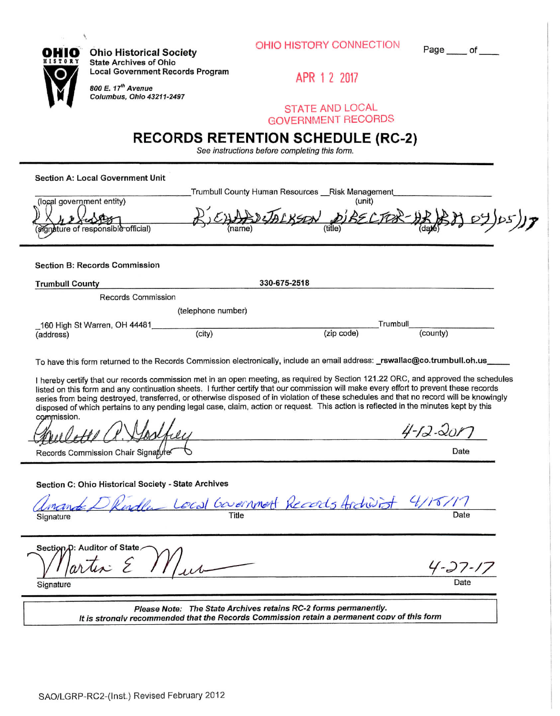|  |  | OHIO HISTORY CONNECTION |
|--|--|-------------------------|
|--|--|-------------------------|

 $Page$ <sub> $\qquad$ </sub> of  $\qquad$ 

**OHIO Ohio Historical Society ^s^^ ^ state Archives of Ohio <sup>g</sup>^J^n Locai Government Records Program** \Y/ **Q . 800 e.***<sup>i</sup> f Avenue* 

**N** *t Columbus. Ohio 43211-2497* 

**APR 1 2 201?** 

**STATE AND LOCAL GOVERNMENT RECORDS** 

# **RECORDS RETENTION SCHEDULE (RC-2)**

*See instructions before completing this form.* 

**Section A: Locai Government Unit** 

\_Trumbull County Human Resources Risk Management

|                                                                  |                                       | unit |  |
|------------------------------------------------------------------|---------------------------------------|------|--|
| (local government entity)<br>(signature of responsible official) | BICHABOLALKSON DIBECTOR-HRB8107/05/17 |      |  |
|                                                                  |                                       |      |  |
|                                                                  |                                       |      |  |
|                                                                  |                                       |      |  |

**Section B: Records Commission** 

| <b>Trumbull County</b> | 330-675-2518 |
|------------------------|--------------|
| Records Commission     |              |
| (telephone number)     |              |

| 160 High St Warren, OH 44481 | Trumbull |            |          |  |
|------------------------------|----------|------------|----------|--|
| -<br>(address)               | (city)   | (zip code) | (county) |  |

To have this form returned to the Records Commission electronically, include an email address: **\_rswal1ac**@co**.trumbull**.oh**.us.** 

**<sup>1</sup>** hereby certify that our records commission met in an open meeting, as required by Section 121.22 ORG, and approved the schedules listed on this form and any continuation sheets. I further certify that our commission will make every effort to prevent these records series from being destroyed, transferred, or otherwise disposed of in violation of these schedules and that no record will be knowingly disposed of which pertains to any pending legal case, claim, action or request. This action is reflected in the minutes kept by this commission.

| Gowlotte Q. Gosther                | $4 - 12 - 201$ |
|------------------------------------|----------------|
| Records Commission Chair Signature | Date           |

## **Section C: Ohio Historical Society - State Archives**

|           | amande D Rindla Local Government Records Archivist 4/15/17 |      |
|-----------|------------------------------------------------------------|------|
| Signature |                                                            | Date |

Section<sub>,D</sub>: Auditor of State artin 4-27-17 Signature Date **Date** 

*Please Note: The State Archives retains RC-2 forms permanently. It is stronalv recommended that the Records Commission retain a permanent coov of this form*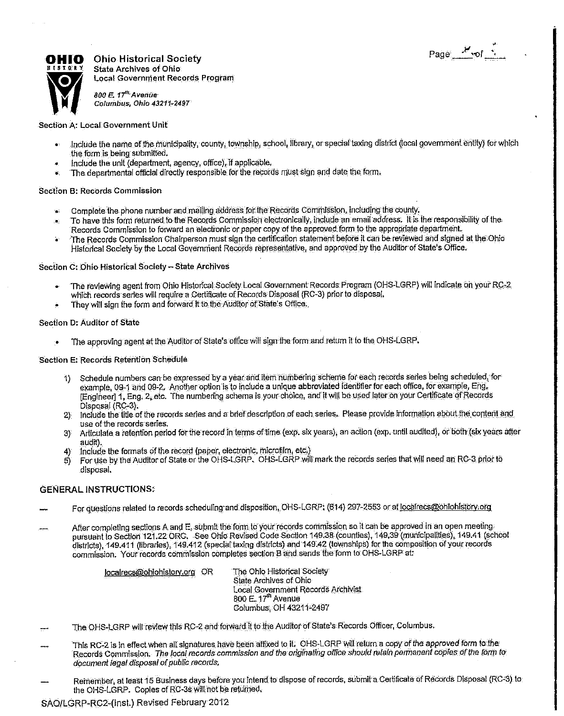

 $\begin{array}{llll} \bullet\ \text{HIO} & \text{Onio Historical Society} \end{array}$ State Archives of Ohio Local Governnient Records Program

*800 E. l f Avenue Columbus, Ohio 43211-2497* 

#### Section *A'.* Local Government Unit

- Include the name of the municipality, county, township, school, library, or special taxing district (local government entity) for which the form is being submitted.
- Include the unit (department, agency, office), if applicable,
- The departmental official directly responsible, for the records must sign and date the formi

#### Section B: Records Commission

- Complete the phone number and mailing address for the Records Commission, including the county.
- To have this form returned to the Records Commission electronically, include an email address. It is the responsibility of the Records Comnilssion to forward an electronic or paper copy of the approved form to the appropriate departrnehl,.
- The Records Gommisslon Chairperson must sign the certification statement before it can be reviewed and signed at the Ohio Historical Society by ftie Local Goyemtrieni Records representative, and approved by the Auditor of State's Office.

#### Section C: Ohio Historical Society - State Archives

- The reviewing agent from Ohio Historical Society Local Government Records Program (OHS-LGRP) will indicate on your RC-2 which records series will require a Certificate of Records Disposal (RC-3) prior to disposal.
- They will sign the form and forward it to the Auditor of State's Office.

#### Section D: Auditor of State

The approving agent atthe Audltorof State's office will sign the form and return It to the OHS-LGRP.

#### Section E: Records Retention Schedule

- 1) Schedule numbers can be expressed by a year and iterri numbering scheme for each records series being scheduled^ for example, 09-1 and 09-2. Another option is to include a unique abbreviated identifier for each office, for example, Eng. [Engineer] 1, Eng. 2, etc. The numbering schema is your choice, and it will be used later on your Certificate of Records Disposal (RC-3).
- 2) Include the title of the records series and a brief description of each series. Please provide information about the content and use of the records series.
- 3) Articulate a retention period for the record in terms of time (exp. six years); an action (exp. until audited), or both (six years after audit).
- 4) Include the formats of the record (paper, electrorilc, microfilm, etc.)
- 5) For use by the' Auditor of State or the OHS-LGRP. OHS-LGRP will mark the records series that will need an RC-3 prior to disposal.

### **GENERAL INSTRUCTIONS:**

- For questions related to records scheduling and disposition, OHS-LGRP: (614) 297-2553 or at localrecs@ohiohistory.org
- After completing sections A and E, submit the form to your records commission so it can be approved in an open meetingpursuant to Section 121.22 ORG. See Ohio Revised Code Section 149.38 (counties), 149,39 (municipalities), 149.41 (school districts), 149.411 (libraries), 149.412 (special taxing districts) and 149.42 (townships) for the composition of your records commission. Your records commission completes section B dhd sends the form to: OHS-LGRP at:

localrecs@ohiohistory.org OR The Ohio Historical Society

State Archives of Ohio Local Government Records Archivist 800 E. 17<sup>th</sup> Avenue Columbus, OH 43211-2497

- The OHS-LGRP will review this RC-2 and forward it to the Auditor of State's Records Officer, Columbus.
- This RC-2 Is in effect When all signatures, have been afffXed to it. OHS-LGRP W'li returna copy of the approved form to the Records Commission. *The local records commission and the ongihating office should retain permanent copies of the fdrfh to document legal disposal of public records.*
- Remember, at least 15 Business days before you Intend to dispose of records, submit a Certificate of Records Disposal (RC-3) to the OHS-LGRP. Copies of RC-3s will not be returned.

SA0/LGRP-RC2-(lns!.) Revised February 20t2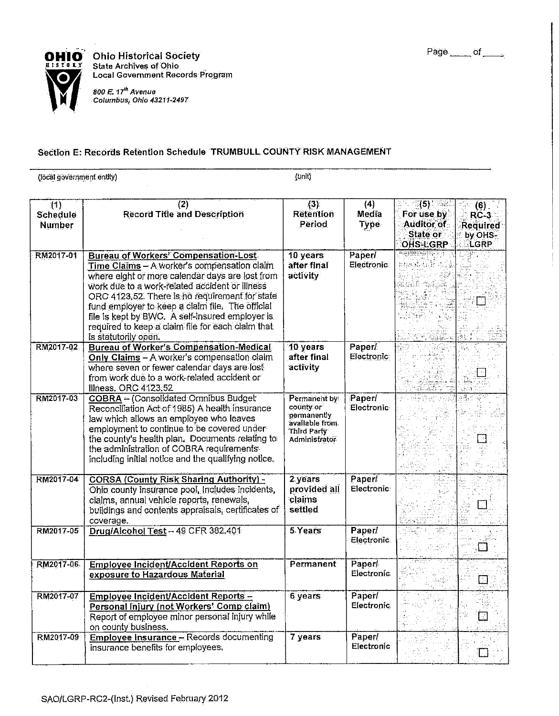

**Ohio Historical Society** ^^9 ^ **State Archives of Ohio Local Government Records Program**  i00 E. 17<sup>th</sup> Avenue

*Columbus, Ohio 43211-2497* 

# **Section E: Records Retention Schedule TRUMBULL COUNTY RISK MANAGEMENT**

(local gbverrimenf entity) (Unit)

| (1)<br>Schedule<br><b>Number</b> | (2)<br><b>Record Title and Description</b>                                                                                                                                                                                                                                                                                                                                                                                            | (3)<br><b>Retention</b><br>Period                                                                 | (4)<br>Media<br>Type        | $\mathcal{D}(5)$ . Fig.<br>For use by<br>Auditor of<br>State or<br>OHS-LGRP<br>- 그 화면 가능이 하는 거 | $(6)$ .<br>$RC-3$<br>Required<br>by OHS-<br>LGRP |
|----------------------------------|---------------------------------------------------------------------------------------------------------------------------------------------------------------------------------------------------------------------------------------------------------------------------------------------------------------------------------------------------------------------------------------------------------------------------------------|---------------------------------------------------------------------------------------------------|-----------------------------|------------------------------------------------------------------------------------------------|--------------------------------------------------|
| RM2017-01                        | <b>Bureau of Workers' Compensation-Lost</b><br>Time Claims - A worker's compensation claim<br>where eight or more calendar days are lost from<br>work due to a work-related accident or illness<br>ORC 4123.52. There is no requirement for state<br>fund employer to keep a claim file. The official<br>file is kept by BWC. A self-insured employer is<br>required to keep a claim file for each claim that<br>is statutorily open. | 10 years<br>after final<br>activity                                                               | Paperl<br>Electronic        | 和康威克                                                                                           |                                                  |
| RM2017-02                        | <b>Bureau of Worker's Compensation-Medical</b><br>Only Claims - A worker's compensation claim.<br>where seven or fewer calendar days are lost<br>from work due to a work-related accident or<br>illness, ORC 4123.52                                                                                                                                                                                                                  | 10 years<br>after final<br>activity                                                               | Paper/<br>Electronic        |                                                                                                |                                                  |
| RM2017-03                        | COBRA - (Consolidated Omnibus Budget<br>Reconciliation Act of 1985) A health insurance<br>law which allows an employee who leaves<br>employment to continue to be covered under<br>the county's health plan. Documents relating to<br>the administration of COBRA requirements<br>including initial notice and the qualifying notice.                                                                                                 | Permanent by<br>county or<br>permanently<br>avallable from<br>Third Party<br><b>Administrator</b> | Paperi<br>Electronic        |                                                                                                |                                                  |
| RM2017-04                        | <b>CORSA (County Risk Sharing Authority) -</b><br>Ohio county insurance pool, includes incidents,<br>claims, annual vehicle reports, renewals,<br>buildings and contents appraisals, certificates of<br>coverage.                                                                                                                                                                                                                     | 2 years<br>provided all<br>claims<br>settled                                                      | Paperl<br>Electronic        |                                                                                                |                                                  |
| RM2017-05                        | Drug/Alcohol Test - 49 CFR 382.401                                                                                                                                                                                                                                                                                                                                                                                                    | 5 Years                                                                                           | <b>Paper</b><br>Electronic. |                                                                                                |                                                  |
| RM2017-06                        | Employee Incident/Accident Reports on<br>exposure to Hazardous Material                                                                                                                                                                                                                                                                                                                                                               | <b>Permanent</b>                                                                                  | Paper<br>Electronic:        |                                                                                                | 34                                               |
| RM2017-07                        | Employee Incident/Accident Reports -<br>Personal Injury (not Workers' Comp claim)<br>Report of employee minor personal injury while<br>on county business.                                                                                                                                                                                                                                                                            | 6 years                                                                                           | Paper/<br><b>Electronic</b> |                                                                                                | ⊡                                                |
| RM2017-09                        | Employee Insurance - Records documenting<br>insurance benefits for employees.                                                                                                                                                                                                                                                                                                                                                         | 7 years                                                                                           | Paper/<br>Electronic        |                                                                                                |                                                  |